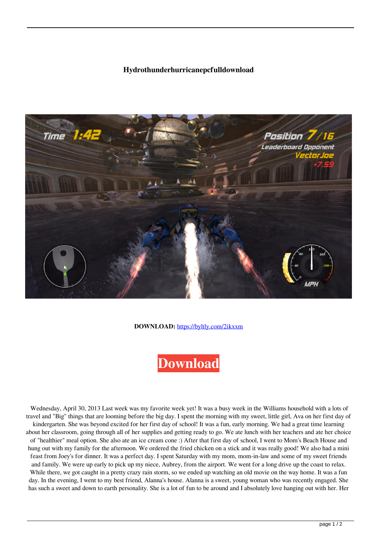## **Hydrothunderhurricanepcfulldownload**



**DOWNLOAD:** <https://byltly.com/2ikxxm>

## **[Download](https://byltly.com/2ikxxm)**

 Wednesday, April 30, 2013 Last week was my favorite week yet! It was a busy week in the Williams household with a lots of travel and "Big" things that are looming before the big day. I spent the morning with my sweet, little girl, Ava on her first day of kindergarten. She was beyond excited for her first day of school! It was a fun, early morning. We had a great time learning about her classroom, going through all of her supplies and getting ready to go. We ate lunch with her teachers and ate her choice of "healthier" meal option. She also ate an ice cream cone :) After that first day of school, I went to Mom's Beach House and hung out with my family for the afternoon. We ordered the fried chicken on a stick and it was really good! We also had a mini feast from Joey's for dinner. It was a perfect day. I spent Saturday with my mom, mom-in-law and some of my sweet friends and family. We were up early to pick up my niece, Aubrey, from the airport. We went for a long drive up the coast to relax. While there, we got caught in a pretty crazy rain storm, so we ended up watching an old movie on the way home. It was a fun day. In the evening, I went to my best friend, Alanna's house. Alanna is a sweet, young woman who was recently engaged. She has such a sweet and down to earth personality. She is a lot of fun to be around and I absolutely love hanging out with her. Her